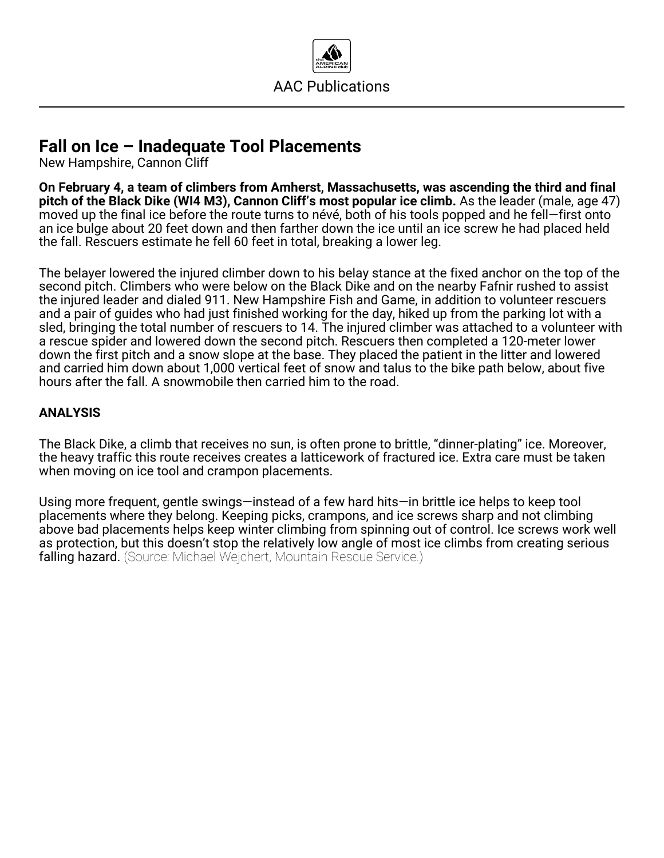

## **Fall on Ice – Inadequate Tool Placements**

New Hampshire, Cannon Cliff

**On February 4, a team of climbers from Amherst, Massachusetts, was ascending the third and final pitch of the Black Dike (WI4 M3), Cannon Cliff's most popular ice climb.** As the leader (male, age 47) moved up the final ice before the route turns to névé, both of his tools popped and he fell—first onto an ice bulge about 20 feet down and then farther down the ice until an ice screw he had placed held the fall. Rescuers estimate he fell 60 feet in total, breaking a lower leg.

The belayer lowered the injured climber down to his belay stance at the fixed anchor on the top of the second pitch. Climbers who were below on the Black Dike and on the nearby Fafnir rushed to assist the injured leader and dialed 911. New Hampshire Fish and Game, in addition to volunteer rescuers and a pair of guides who had just finished working for the day, hiked up from the parking lot with a sled, bringing the total number of rescuers to 14. The injured climber was attached to a volunteer with a rescue spider and lowered down the second pitch. Rescuers then completed a 120-meter lower down the first pitch and a snow slope at the base. They placed the patient in the litter and lowered and carried him down about 1,000 vertical feet of snow and talus to the bike path below, about five hours after the fall. A snowmobile then carried him to the road.

## **ANALYSIS**

The Black Dike, a climb that receives no sun, is often prone to brittle, "dinner-plating" ice. Moreover, the heavy traffic this route receives creates a latticework of fractured ice. Extra care must be taken when moving on ice tool and crampon placements.

Using more frequent, gentle swings—instead of a few hard hits—in brittle ice helps to keep tool placements where they belong. Keeping picks, crampons, and ice screws sharp and not climbing above bad placements helps keep winter climbing from spinning out of control. Ice screws work well as protection, but this doesn't stop the relatively low angle of most ice climbs from creating serious falling hazard. (Source: Michael Wejchert, Mountain Rescue Service.)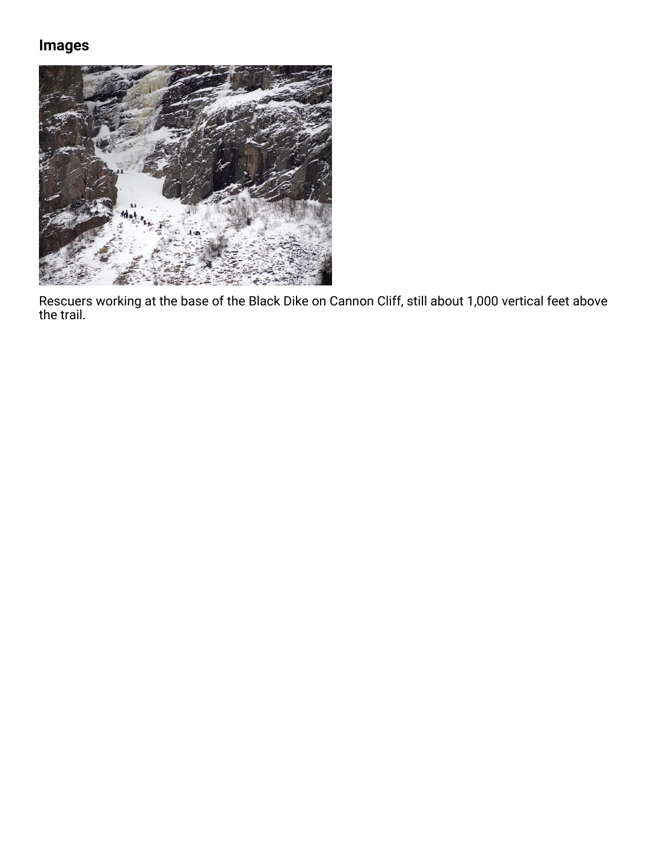## **Images**



Rescuers working at the base of the Black Dike on Cannon Cliff, still about 1,000 vertical feet above the trail.